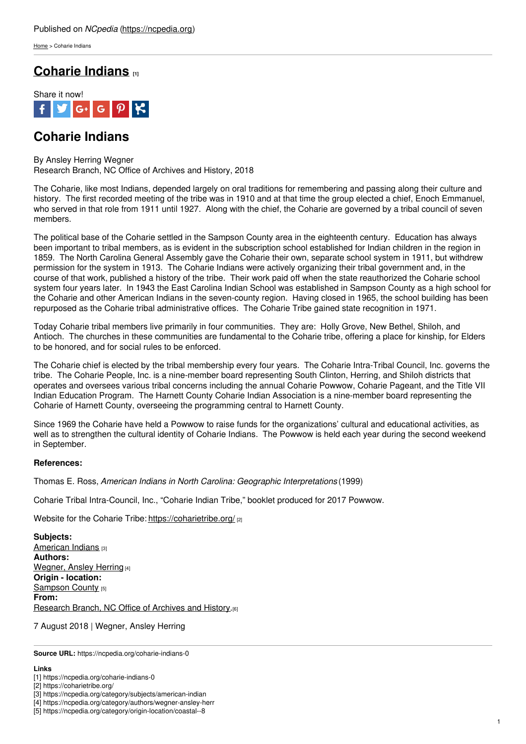[Home](https://ncpedia.org/) > Coharie Indians

## **[Coharie](https://ncpedia.org/coharie-indians-0) Indians [1]**



## **Coharie Indians**

By Ansley Herring Wegner Research Branch, NC Office of Archives and History, 2018

The Coharie, like most Indians, depended largely on oral traditions for remembering and passing along their culture and history. The first recorded meeting of the tribe was in 1910 and at that time the group elected a chief, Enoch Emmanuel, who served in that role from 1911 until 1927. Along with the chief, the Coharie are governed by a tribal council of seven members.

The political base of the Coharie settled in the [Sampson](http://www.social9.com) County area in the eighteenth century. Education has always been important to tribal members, as is evident in the subscription school established for Indian children in the region in 1859. The North Carolina General Assembly gave the Coharie their own, separate school system in 1911, but withdrew permission for the system in 1913. The Coharie Indians were actively organizing their tribal government and, in the course of that work, published a history of the tribe. Their work paid off when the state reauthorized the Coharie school system four years later. In 1943 the East Carolina Indian School was established in Sampson County as a high school for the Coharie and other American Indians in the seven-county region. Having closed in 1965, the school building has been repurposed as the Coharie tribal administrative offices. The Coharie Tribe gained state recognition in 1971.

Today Coharie tribal members live primarily in four communities. They are: Holly Grove, New Bethel, Shiloh, and Antioch. The churches in these communities are fundamental to the Coharie tribe, offering a place for kinship, for Elders to be honored, and for social rules to be enforced.

The Coharie chief is elected by the tribal membership every four years. The Coharie Intra-Tribal Council, Inc. governs the tribe. The Coharie People, Inc. is a nine-member board representing South Clinton, Herring, and Shiloh districts that operates and oversees various tribal concerns including the annual Coharie Powwow, Coharie Pageant, and the Title VII Indian Education Program. The Harnett County Coharie Indian Association is a nine-member board representing the Coharie of Harnett County, overseeing the programming central to Harnett County.

Since 1969 the Coharie have held a Powwow to raise funds for the organizations' cultural and educational activities, as well as to strengthen the cultural identity of Coharie Indians. The Powwow is held each year during the second weekend in September.

## **References:**

Thomas E. Ross, *American Indians in North Carolina: Geographic Interpretations* (1999)

Coharie Tribal Intra-Council, Inc., "Coharie Indian Tribe," booklet produced for 2017 Powwow.

Website for the Coharie Tribe: <https://coharietribe.org/> [2]

**Subjects:** [American](https://ncpedia.org/category/subjects/american-indian) Indians [3] **Authors:** [Wegner,](https://ncpedia.org/category/authors/wegner-ansley-herr) Ansley Herring [4] **Origin - location:** [Sampson](https://ncpedia.org/category/origin-location/coastal--8) County [5] **From:** [Research](https://ncpedia.org/category/entry-source/research-bran) Branch, NC Office of Archives and History.<sup>[6]</sup>

7 August 2018 | Wegner, Ansley Herring

**Source URL:** https://ncpedia.org/coharie-indians-0

## **Links**

[1] https://ncpedia.org/coharie-indians-0

<sup>[2]</sup> https://coharietribe.org/

<sup>[3]</sup> https://ncpedia.org/category/subjects/american-indian

<sup>[4]</sup> https://ncpedia.org/category/authors/wegner-ansley-herr

<sup>[5]</sup> https://ncpedia.org/category/origin-location/coastal--8